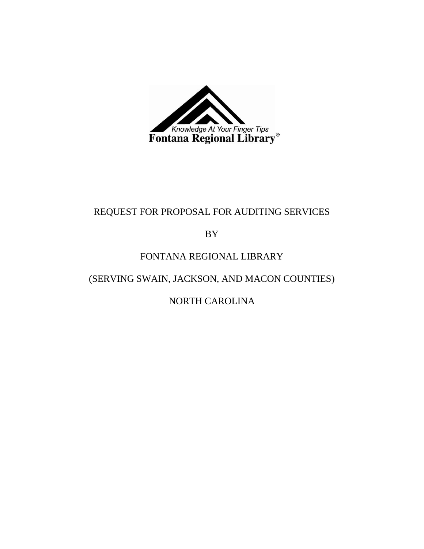

# REQUEST FOR PROPOSAL FOR AUDITING SERVICES

BY

## FONTANA REGIONAL LIBRARY

(SERVING SWAIN, JACKSON, AND MACON COUNTIES)

NORTH CAROLINA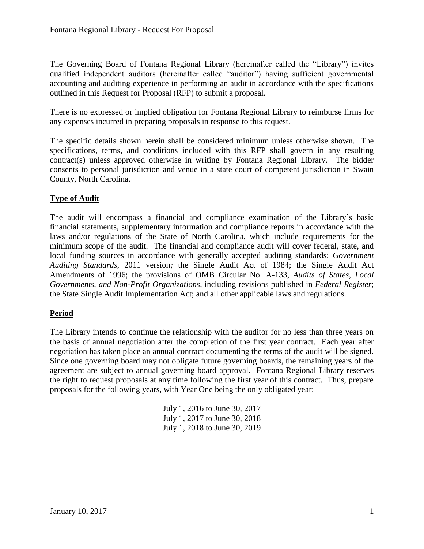The Governing Board of Fontana Regional Library (hereinafter called the "Library") invites qualified independent auditors (hereinafter called "auditor") having sufficient governmental accounting and auditing experience in performing an audit in accordance with the specifications outlined in this Request for Proposal (RFP) to submit a proposal.

There is no expressed or implied obligation for Fontana Regional Library to reimburse firms for any expenses incurred in preparing proposals in response to this request.

The specific details shown herein shall be considered minimum unless otherwise shown. The specifications, terms, and conditions included with this RFP shall govern in any resulting contract(s) unless approved otherwise in writing by Fontana Regional Library. The bidder consents to personal jurisdiction and venue in a state court of competent jurisdiction in Swain County, North Carolina.

## **Type of Audit**

The audit will encompass a financial and compliance examination of the Library's basic financial statements, supplementary information and compliance reports in accordance with the laws and/or regulations of the State of North Carolina, which include requirements for the minimum scope of the audit. The financial and compliance audit will cover federal, state, and local funding sources in accordance with generally accepted auditing standards; *Government Auditing Standards*, 2011 version*;* the Single Audit Act of 1984; the Single Audit Act Amendments of 1996; the provisions of OMB Circular No. A-133, *Audits of States, Local Governments, and Non-Profit Organizations*, including revisions published in *Federal Register*; the State Single Audit Implementation Act; and all other applicable laws and regulations.

## **Period**

The Library intends to continue the relationship with the auditor for no less than three years on the basis of annual negotiation after the completion of the first year contract. Each year after negotiation has taken place an annual contract documenting the terms of the audit will be signed. Since one governing board may not obligate future governing boards, the remaining years of the agreement are subject to annual governing board approval. Fontana Regional Library reserves the right to request proposals at any time following the first year of this contract. Thus, prepare proposals for the following years, with Year One being the only obligated year:

> July 1, 2016 to June 30, 2017 July 1, 2017 to June 30, 2018 July 1, 2018 to June 30, 2019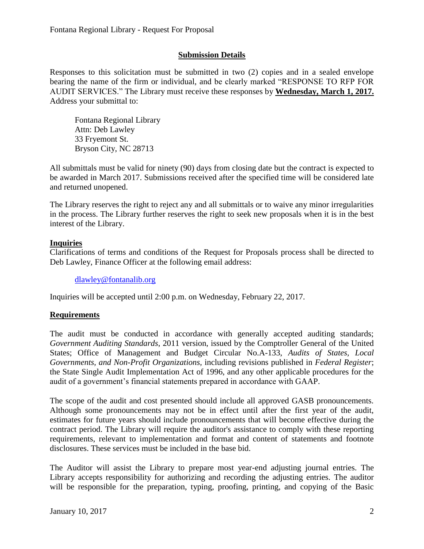#### **Submission Details**

Responses to this solicitation must be submitted in two (2) copies and in a sealed envelope bearing the name of the firm or individual, and be clearly marked "RESPONSE TO RFP FOR AUDIT SERVICES." The Library must receive these responses by **Wednesday, March 1, 2017.** Address your submittal to:

Fontana Regional Library Attn: Deb Lawley 33 Fryemont St. Bryson City, NC 28713

All submittals must be valid for ninety (90) days from closing date but the contract is expected to be awarded in March 2017. Submissions received after the specified time will be considered late and returned unopened.

The Library reserves the right to reject any and all submittals or to waive any minor irregularities in the process. The Library further reserves the right to seek new proposals when it is in the best interest of the Library.

#### **Inquiries**

Clarifications of terms and conditions of the Request for Proposals process shall be directed to Deb Lawley, Finance Officer at the following email address:

[dlawley@fontanalib.org](mailto:dlawley@fontanalib.org)

Inquiries will be accepted until 2:00 p.m. on Wednesday, February 22, 2017.

#### **Requirements**

The audit must be conducted in accordance with generally accepted auditing standards; *Government Auditing Standards*, 2011 version, issued by the Comptroller General of the United States; Office of Management and Budget Circular No.A-133, *Audits of States, Local Governments, and Non-Profit Organizations,* including revisions published in *Federal Register*; the State Single Audit Implementation Act of 1996, and any other applicable procedures for the audit of a government's financial statements prepared in accordance with GAAP.

The scope of the audit and cost presented should include all approved GASB pronouncements. Although some pronouncements may not be in effect until after the first year of the audit, estimates for future years should include pronouncements that will become effective during the contract period. The Library will require the auditor's assistance to comply with these reporting requirements, relevant to implementation and format and content of statements and footnote disclosures. These services must be included in the base bid.

The Auditor will assist the Library to prepare most year-end adjusting journal entries. The Library accepts responsibility for authorizing and recording the adjusting entries. The auditor will be responsible for the preparation, typing, proofing, printing, and copying of the Basic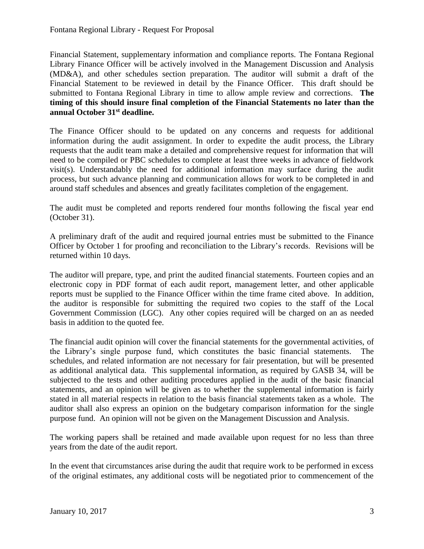Financial Statement, supplementary information and compliance reports. The Fontana Regional Library Finance Officer will be actively involved in the Management Discussion and Analysis (MD&A), and other schedules section preparation. The auditor will submit a draft of the Financial Statement to be reviewed in detail by the Finance Officer. This draft should be submitted to Fontana Regional Library in time to allow ample review and corrections. **The timing of this should insure final completion of the Financial Statements no later than the annual October 31st deadline.** 

The Finance Officer should to be updated on any concerns and requests for additional information during the audit assignment. In order to expedite the audit process, the Library requests that the audit team make a detailed and comprehensive request for information that will need to be compiled or PBC schedules to complete at least three weeks in advance of fieldwork visit(s). Understandably the need for additional information may surface during the audit process, but such advance planning and communication allows for work to be completed in and around staff schedules and absences and greatly facilitates completion of the engagement.

The audit must be completed and reports rendered four months following the fiscal year end (October 31).

A preliminary draft of the audit and required journal entries must be submitted to the Finance Officer by October 1 for proofing and reconciliation to the Library's records. Revisions will be returned within 10 days.

The auditor will prepare, type, and print the audited financial statements. Fourteen copies and an electronic copy in PDF format of each audit report, management letter, and other applicable reports must be supplied to the Finance Officer within the time frame cited above. In addition, the auditor is responsible for submitting the required two copies to the staff of the Local Government Commission (LGC). Any other copies required will be charged on an as needed basis in addition to the quoted fee.

The financial audit opinion will cover the financial statements for the governmental activities, of the Library's single purpose fund, which constitutes the basic financial statements. The schedules, and related information are not necessary for fair presentation, but will be presented as additional analytical data. This supplemental information, as required by GASB 34, will be subjected to the tests and other auditing procedures applied in the audit of the basic financial statements, and an opinion will be given as to whether the supplemental information is fairly stated in all material respects in relation to the basis financial statements taken as a whole. The auditor shall also express an opinion on the budgetary comparison information for the single purpose fund. An opinion will not be given on the Management Discussion and Analysis.

The working papers shall be retained and made available upon request for no less than three years from the date of the audit report.

In the event that circumstances arise during the audit that require work to be performed in excess of the original estimates, any additional costs will be negotiated prior to commencement of the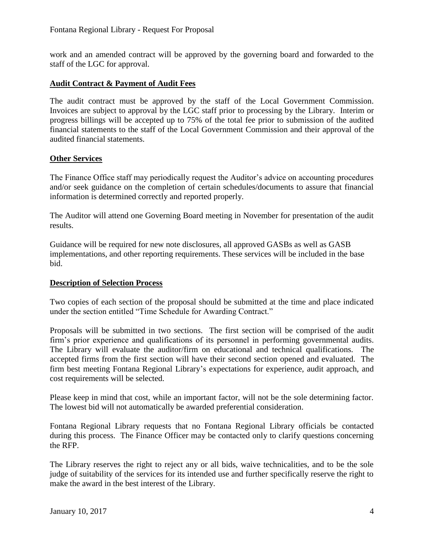work and an amended contract will be approved by the governing board and forwarded to the staff of the LGC for approval.

## **Audit Contract & Payment of Audit Fees**

The audit contract must be approved by the staff of the Local Government Commission. Invoices are subject to approval by the LGC staff prior to processing by the Library. Interim or progress billings will be accepted up to 75% of the total fee prior to submission of the audited financial statements to the staff of the Local Government Commission and their approval of the audited financial statements.

## **Other Services**

The Finance Office staff may periodically request the Auditor's advice on accounting procedures and/or seek guidance on the completion of certain schedules/documents to assure that financial information is determined correctly and reported properly.

The Auditor will attend one Governing Board meeting in November for presentation of the audit results.

Guidance will be required for new note disclosures, all approved GASBs as well as GASB implementations, and other reporting requirements. These services will be included in the base bid.

## **Description of Selection Process**

Two copies of each section of the proposal should be submitted at the time and place indicated under the section entitled "Time Schedule for Awarding Contract."

Proposals will be submitted in two sections. The first section will be comprised of the audit firm's prior experience and qualifications of its personnel in performing governmental audits. The Library will evaluate the auditor/firm on educational and technical qualifications. The accepted firms from the first section will have their second section opened and evaluated. The firm best meeting Fontana Regional Library's expectations for experience, audit approach, and cost requirements will be selected.

Please keep in mind that cost, while an important factor, will not be the sole determining factor. The lowest bid will not automatically be awarded preferential consideration.

Fontana Regional Library requests that no Fontana Regional Library officials be contacted during this process. The Finance Officer may be contacted only to clarify questions concerning the RFP.

The Library reserves the right to reject any or all bids, waive technicalities, and to be the sole judge of suitability of the services for its intended use and further specifically reserve the right to make the award in the best interest of the Library.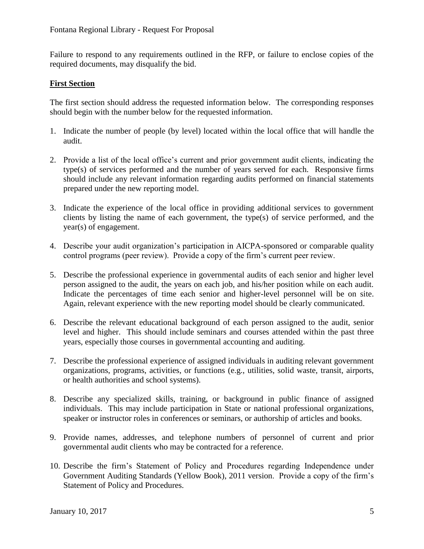Failure to respond to any requirements outlined in the RFP, or failure to enclose copies of the required documents, may disqualify the bid.

#### **First Section**

The first section should address the requested information below. The corresponding responses should begin with the number below for the requested information.

- 1. Indicate the number of people (by level) located within the local office that will handle the audit.
- 2. Provide a list of the local office's current and prior government audit clients, indicating the type(s) of services performed and the number of years served for each. Responsive firms should include any relevant information regarding audits performed on financial statements prepared under the new reporting model.
- 3. Indicate the experience of the local office in providing additional services to government clients by listing the name of each government, the type(s) of service performed, and the year(s) of engagement.
- 4. Describe your audit organization's participation in AICPA-sponsored or comparable quality control programs (peer review). Provide a copy of the firm's current peer review.
- 5. Describe the professional experience in governmental audits of each senior and higher level person assigned to the audit, the years on each job, and his/her position while on each audit. Indicate the percentages of time each senior and higher-level personnel will be on site. Again, relevant experience with the new reporting model should be clearly communicated.
- 6. Describe the relevant educational background of each person assigned to the audit, senior level and higher. This should include seminars and courses attended within the past three years, especially those courses in governmental accounting and auditing.
- 7. Describe the professional experience of assigned individuals in auditing relevant government organizations, programs, activities, or functions (e.g., utilities, solid waste, transit, airports, or health authorities and school systems).
- 8. Describe any specialized skills, training, or background in public finance of assigned individuals. This may include participation in State or national professional organizations, speaker or instructor roles in conferences or seminars, or authorship of articles and books.
- 9. Provide names, addresses, and telephone numbers of personnel of current and prior governmental audit clients who may be contracted for a reference.
- 10. Describe the firm's Statement of Policy and Procedures regarding Independence under Government Auditing Standards (Yellow Book), 2011 version. Provide a copy of the firm's Statement of Policy and Procedures.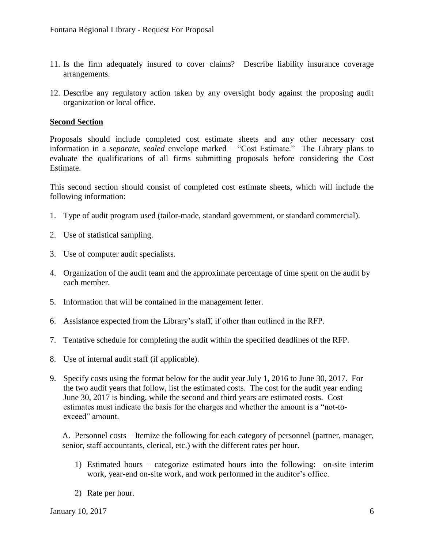- 11. Is the firm adequately insured to cover claims? Describe liability insurance coverage arrangements.
- 12. Describe any regulatory action taken by any oversight body against the proposing audit organization or local office.

#### **Second Section**

Proposals should include completed cost estimate sheets and any other necessary cost information in a *separate, sealed* envelope marked – "Cost Estimate." The Library plans to evaluate the qualifications of all firms submitting proposals before considering the Cost Estimate.

This second section should consist of completed cost estimate sheets, which will include the following information:

- 1. Type of audit program used (tailor-made, standard government, or standard commercial).
- 2. Use of statistical sampling.
- 3. Use of computer audit specialists.
- 4. Organization of the audit team and the approximate percentage of time spent on the audit by each member.
- 5. Information that will be contained in the management letter.
- 6. Assistance expected from the Library's staff, if other than outlined in the RFP.
- 7. Tentative schedule for completing the audit within the specified deadlines of the RFP.
- 8. Use of internal audit staff (if applicable).
- 9. Specify costs using the format below for the audit year July 1, 2016 to June 30, 2017. For the two audit years that follow, list the estimated costs. The cost for the audit year ending June 30, 2017 is binding, while the second and third years are estimated costs. Cost estimates must indicate the basis for the charges and whether the amount is a "not-toexceed" amount.

A. Personnel costs – Itemize the following for each category of personnel (partner, manager, senior, staff accountants, clerical, etc.) with the different rates per hour.

- 1) Estimated hours categorize estimated hours into the following: on-site interim work, year-end on-site work, and work performed in the auditor's office.
- 2) Rate per hour.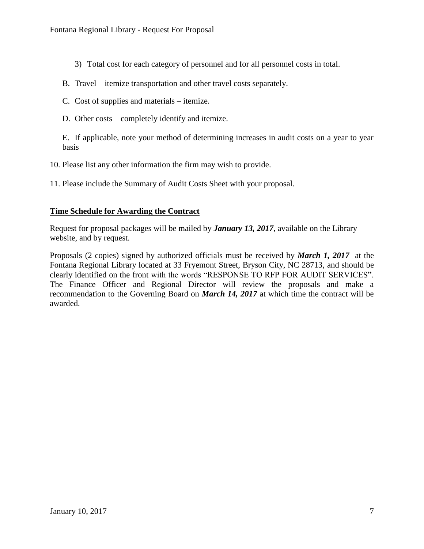- 3) Total cost for each category of personnel and for all personnel costs in total.
- B. Travel itemize transportation and other travel costs separately.
- C. Cost of supplies and materials itemize.
- D. Other costs completely identify and itemize.

E. If applicable, note your method of determining increases in audit costs on a year to year basis

10. Please list any other information the firm may wish to provide.

11. Please include the Summary of Audit Costs Sheet with your proposal.

#### **Time Schedule for Awarding the Contract**

Request for proposal packages will be mailed by *January 13, 2017*, available on the Library website, and by request.

Proposals (2 copies) signed by authorized officials must be received by *March 1, 2017* at the Fontana Regional Library located at 33 Fryemont Street, Bryson City, NC 28713, and should be clearly identified on the front with the words "RESPONSE TO RFP FOR AUDIT SERVICES". The Finance Officer and Regional Director will review the proposals and make a recommendation to the Governing Board on *March 14, 2017* at which time the contract will be awarded.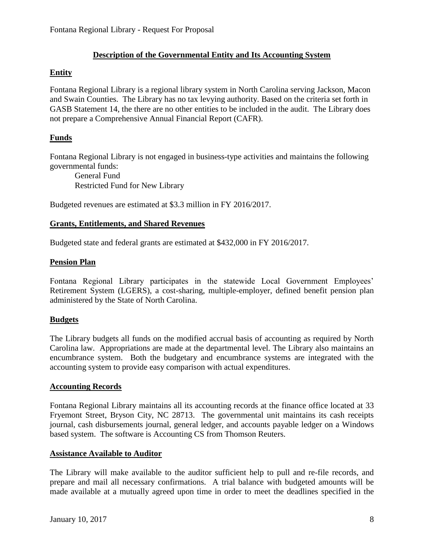## **Description of the Governmental Entity and Its Accounting System**

## **Entity**

Fontana Regional Library is a regional library system in North Carolina serving Jackson, Macon and Swain Counties. The Library has no tax levying authority. Based on the criteria set forth in GASB Statement 14, the there are no other entities to be included in the audit. The Library does not prepare a Comprehensive Annual Financial Report (CAFR).

## **Funds**

Fontana Regional Library is not engaged in business-type activities and maintains the following governmental funds:

General Fund Restricted Fund for New Library

Budgeted revenues are estimated at \$3.3 million in FY 2016/2017.

#### **Grants, Entitlements, and Shared Revenues**

Budgeted state and federal grants are estimated at \$432,000 in FY 2016/2017.

## **Pension Plan**

Fontana Regional Library participates in the statewide Local Government Employees' Retirement System (LGERS), a cost-sharing, multiple-employer, defined benefit pension plan administered by the State of North Carolina.

## **Budgets**

The Library budgets all funds on the modified accrual basis of accounting as required by North Carolina law. Appropriations are made at the departmental level. The Library also maintains an encumbrance system. Both the budgetary and encumbrance systems are integrated with the accounting system to provide easy comparison with actual expenditures.

#### **Accounting Records**

Fontana Regional Library maintains all its accounting records at the finance office located at 33 Fryemont Street, Bryson City, NC 28713. The governmental unit maintains its cash receipts journal, cash disbursements journal, general ledger, and accounts payable ledger on a Windows based system. The software is Accounting CS from Thomson Reuters.

#### **Assistance Available to Auditor**

The Library will make available to the auditor sufficient help to pull and re-file records, and prepare and mail all necessary confirmations. A trial balance with budgeted amounts will be made available at a mutually agreed upon time in order to meet the deadlines specified in the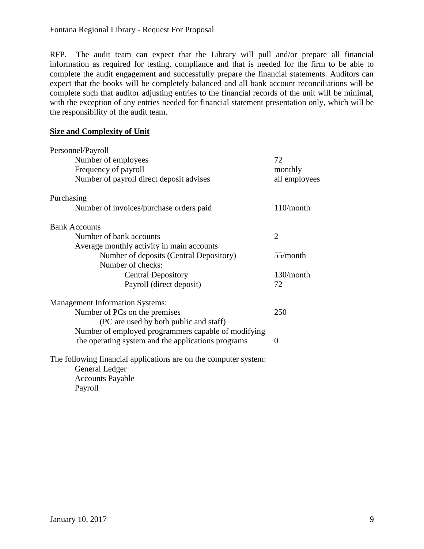RFP. The audit team can expect that the Library will pull and/or prepare all financial information as required for testing, compliance and that is needed for the firm to be able to complete the audit engagement and successfully prepare the financial statements. Auditors can expect that the books will be completely balanced and all bank account reconciliations will be complete such that auditor adjusting entries to the financial records of the unit will be minimal, with the exception of any entries needed for financial statement presentation only, which will be the responsibility of the audit team.

#### **Size and Complexity of Unit**

| Personnel/Payroll                                                |                |
|------------------------------------------------------------------|----------------|
| Number of employees                                              | 72             |
| Frequency of payroll                                             | monthly        |
| Number of payroll direct deposit advises                         | all employees  |
| Purchasing                                                       |                |
| Number of invoices/purchase orders paid                          | $110/m$ onth   |
| <b>Bank Accounts</b>                                             |                |
| Number of bank accounts                                          | $\overline{2}$ |
| Average monthly activity in main accounts                        |                |
| Number of deposits (Central Depository)                          | 55/month       |
| Number of checks:                                                |                |
| <b>Central Depository</b>                                        | $130/m$ onth   |
| Payroll (direct deposit)                                         | 72             |
| <b>Management Information Systems:</b>                           |                |
| Number of PCs on the premises                                    | 250            |
| (PC are used by both public and staff)                           |                |
| Number of employed programmers capable of modifying              |                |
| the operating system and the applications programs               | $\theta$       |
| The following financial applications are on the computer system: |                |
| General Ledger                                                   |                |
| <b>Accounts Payable</b>                                          |                |
| Payroll                                                          |                |